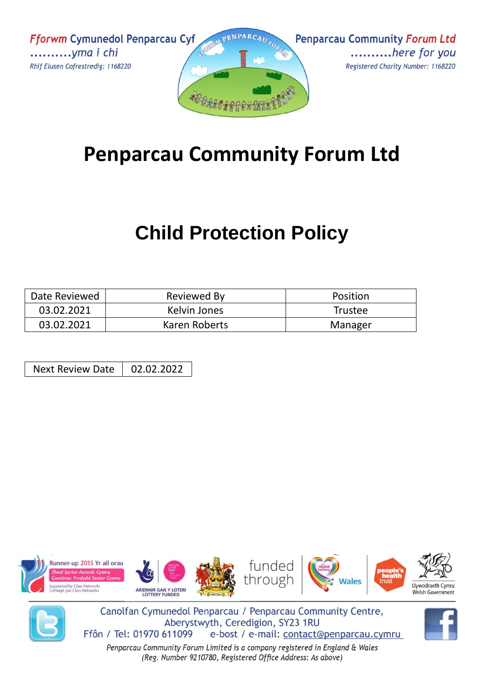**Fforwm Cymunedol Penparcau Cyf** ..........yma i chi Rhif Elusen Cofrestredig: 1168220





# **Penparcau Community Forum Ltd**

# **Child Protection Policy**

| Date Reviewed | Reviewed By   | Position |
|---------------|---------------|----------|
| 03.02.2021    | Kelvin Jones  | Trustee  |
| 03.02.2021    | Karen Roberts | Manager  |

Next Review Date | 02.02.2022





Canolfan Cymunedol Penparcau / Penparcau Community Centre, Aberystwyth, Ceredigion, SY23 1RU Ffôn / Tel: 01970 611099 e-bost / e-mail: contact@penparcau.cymru

Penparcau Community Forum Limited is a company registered in England & Wales (Reg. Number 9210780, Registered Office Address: As above)

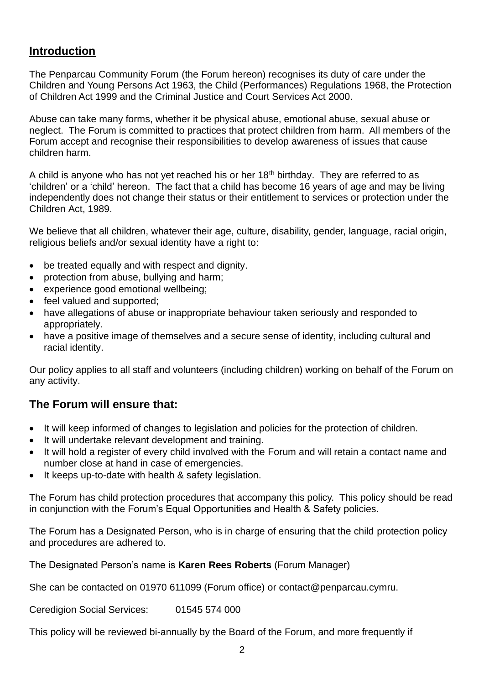### **Introduction**

The Penparcau Community Forum (the Forum hereon) recognises its duty of care under the Children and Young Persons Act 1963, the Child (Performances) Regulations 1968, the Protection of Children Act 1999 and the Criminal Justice and Court Services Act 2000.

Abuse can take many forms, whether it be physical abuse, emotional abuse, sexual abuse or neglect. The Forum is committed to practices that protect children from harm. All members of the Forum accept and recognise their responsibilities to develop awareness of issues that cause children harm.

A child is anyone who has not yet reached his or her  $18<sup>th</sup>$  birthday. They are referred to as 'children' or a 'child' hereon. The fact that a child has become 16 years of age and may be living independently does not change their status or their entitlement to services or protection under the Children Act, 1989.

We believe that all children, whatever their age, culture, disability, gender, language, racial origin, religious beliefs and/or sexual identity have a right to:

- be treated equally and with respect and dignity.
- protection from abuse, bullying and harm;
- experience good emotional wellbeing;
- feel valued and supported;
- have allegations of abuse or inappropriate behaviour taken seriously and responded to appropriately.
- have a positive image of themselves and a secure sense of identity, including cultural and racial identity.

Our policy applies to all staff and volunteers (including children) working on behalf of the Forum on any activity.

#### **The Forum will ensure that:**

- It will keep informed of changes to legislation and policies for the protection of children.
- It will undertake relevant development and training.
- It will hold a register of every child involved with the Forum and will retain a contact name and number close at hand in case of emergencies.
- It keeps up-to-date with health & safety legislation.

The Forum has child protection procedures that accompany this policy. This policy should be read in conjunction with the Forum's Equal Opportunities and Health & Safety policies.

The Forum has a Designated Person, who is in charge of ensuring that the child protection policy and procedures are adhered to.

The Designated Person's name is **Karen Rees Roberts** (Forum Manager)

She can be contacted on 01970 611099 (Forum office) or contact@penparcau.cymru.

Ceredigion Social Services: 01545 574 000

This policy will be reviewed bi-annually by the Board of the Forum, and more frequently if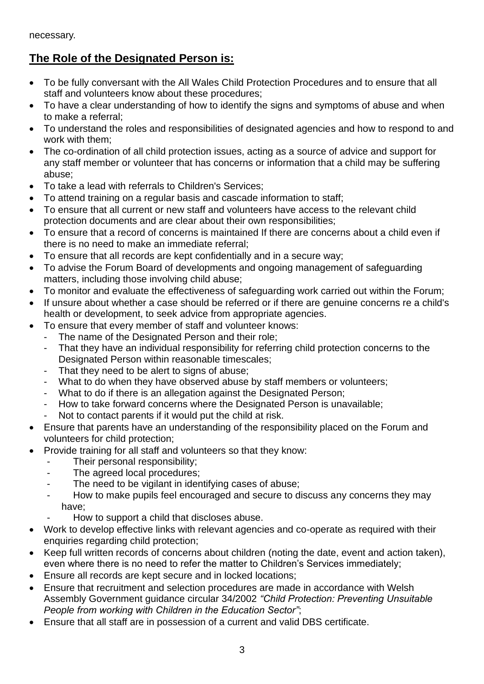necessary.

## **The Role of the Designated Person is:**

- To be fully conversant with the All Wales Child Protection Procedures and to ensure that all staff and volunteers know about these procedures;
- To have a clear understanding of how to identify the signs and symptoms of abuse and when to make a referral;
- To understand the roles and responsibilities of designated agencies and how to respond to and work with them;
- The co-ordination of all child protection issues, acting as a source of advice and support for any staff member or volunteer that has concerns or information that a child may be suffering abuse;
- To take a lead with referrals to Children's Services;
- To attend training on a regular basis and cascade information to staff;
- To ensure that all current or new staff and volunteers have access to the relevant child protection documents and are clear about their own responsibilities;
- To ensure that a record of concerns is maintained If there are concerns about a child even if there is no need to make an immediate referral;
- To ensure that all records are kept confidentially and in a secure way;
- To advise the Forum Board of developments and ongoing management of safeguarding matters, including those involving child abuse;
- To monitor and evaluate the effectiveness of safeguarding work carried out within the Forum;
- If unsure about whether a case should be referred or if there are genuine concerns re a child's health or development, to seek advice from appropriate agencies.
- To ensure that every member of staff and volunteer knows:
	- The name of the Designated Person and their role:
		- That they have an individual responsibility for referring child protection concerns to the Designated Person within reasonable timescales;
		- That they need to be alert to signs of abuse;
		- What to do when they have observed abuse by staff members or volunteers;
		- What to do if there is an allegation against the Designated Person;
		- How to take forward concerns where the Designated Person is unavailable;
		- Not to contact parents if it would put the child at risk.
- Ensure that parents have an understanding of the responsibility placed on the Forum and volunteers for child protection;
- Provide training for all staff and volunteers so that they know:
	- Their personal responsibility;
	- The agreed local procedures;
	- The need to be vigilant in identifying cases of abuse;
	- How to make pupils feel encouraged and secure to discuss any concerns they may have;
		- How to support a child that discloses abuse.
- Work to develop effective links with relevant agencies and co-operate as required with their enquiries regarding child protection;
- Keep full written records of concerns about children (noting the date, event and action taken), even where there is no need to refer the matter to Children's Services immediately;
- Ensure all records are kept secure and in locked locations;
- Ensure that recruitment and selection procedures are made in accordance with Welsh Assembly Government guidance circular 34/2002 *"Child Protection: Preventing Unsuitable People from working with Children in the Education Sector"*;
- Ensure that all staff are in possession of a current and valid DBS certificate.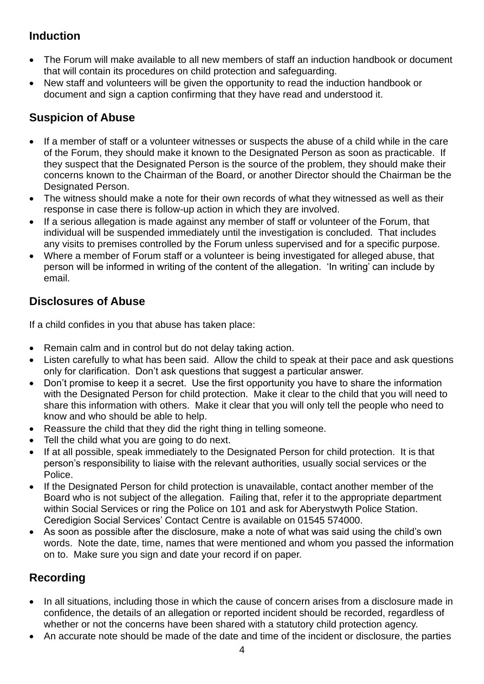# **Induction**

- The Forum will make available to all new members of staff an induction handbook or document that will contain its procedures on child protection and safeguarding.
- New staff and volunteers will be given the opportunity to read the induction handbook or document and sign a caption confirming that they have read and understood it.

# **Suspicion of Abuse**

- If a member of staff or a volunteer witnesses or suspects the abuse of a child while in the care of the Forum, they should make it known to the Designated Person as soon as practicable. If they suspect that the Designated Person is the source of the problem, they should make their concerns known to the Chairman of the Board, or another Director should the Chairman be the Designated Person.
- The witness should make a note for their own records of what they witnessed as well as their response in case there is follow-up action in which they are involved.
- If a serious allegation is made against any member of staff or volunteer of the Forum, that individual will be suspended immediately until the investigation is concluded. That includes any visits to premises controlled by the Forum unless supervised and for a specific purpose.
- Where a member of Forum staff or a volunteer is being investigated for alleged abuse, that person will be informed in writing of the content of the allegation. 'In writing' can include by email.

## **Disclosures of Abuse**

If a child confides in you that abuse has taken place:

- Remain calm and in control but do not delay taking action.
- Listen carefully to what has been said. Allow the child to speak at their pace and ask questions only for clarification. Don't ask questions that suggest a particular answer.
- Don't promise to keep it a secret. Use the first opportunity you have to share the information with the Designated Person for child protection. Make it clear to the child that you will need to share this information with others. Make it clear that you will only tell the people who need to know and who should be able to help.
- Reassure the child that they did the right thing in telling someone.
- Tell the child what you are going to do next.
- If at all possible, speak immediately to the Designated Person for child protection. It is that person's responsibility to liaise with the relevant authorities, usually social services or the Police.
- If the Designated Person for child protection is unavailable, contact another member of the Board who is not subject of the allegation. Failing that, refer it to the appropriate department within Social Services or ring the Police on 101 and ask for Aberystwyth Police Station. Ceredigion Social Services' Contact Centre is available on 01545 574000.
- As soon as possible after the disclosure, make a note of what was said using the child's own words. Note the date, time, names that were mentioned and whom you passed the information on to. Make sure you sign and date your record if on paper.

# **Recording**

- In all situations, including those in which the cause of concern arises from a disclosure made in confidence, the details of an allegation or reported incident should be recorded, regardless of whether or not the concerns have been shared with a statutory child protection agency.
- An accurate note should be made of the date and time of the incident or disclosure, the parties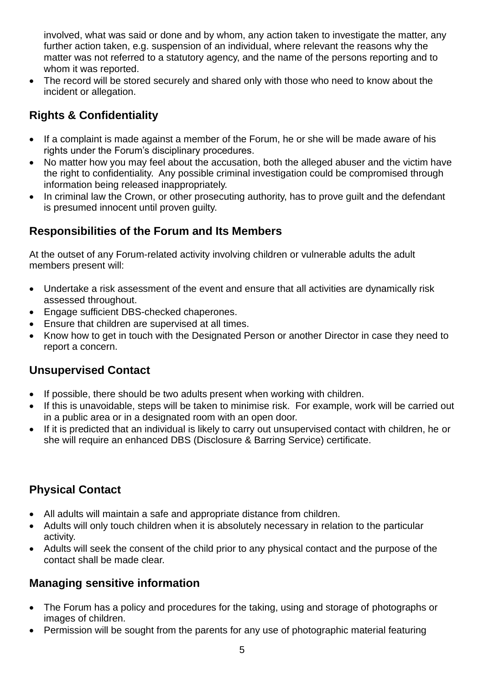involved, what was said or done and by whom, any action taken to investigate the matter, any further action taken, e.g. suspension of an individual, where relevant the reasons why the matter was not referred to a statutory agency, and the name of the persons reporting and to whom it was reported.

• The record will be stored securely and shared only with those who need to know about the incident or allegation.

# **Rights & Confidentiality**

- If a complaint is made against a member of the Forum, he or she will be made aware of his rights under the Forum's disciplinary procedures.
- No matter how you may feel about the accusation, both the alleged abuser and the victim have the right to confidentiality. Any possible criminal investigation could be compromised through information being released inappropriately.
- In criminal law the Crown, or other prosecuting authority, has to prove guilt and the defendant is presumed innocent until proven guilty.

## **Responsibilities of the Forum and Its Members**

At the outset of any Forum-related activity involving children or vulnerable adults the adult members present will:

- Undertake a risk assessment of the event and ensure that all activities are dynamically risk assessed throughout.
- Engage sufficient DBS-checked chaperones.
- Ensure that children are supervised at all times.
- Know how to get in touch with the Designated Person or another Director in case they need to report a concern.

## **Unsupervised Contact**

- If possible, there should be two adults present when working with children.
- If this is unavoidable, steps will be taken to minimise risk. For example, work will be carried out in a public area or in a designated room with an open door.
- If it is predicted that an individual is likely to carry out unsupervised contact with children, he or she will require an enhanced DBS (Disclosure & Barring Service) certificate.

# **Physical Contact**

- All adults will maintain a safe and appropriate distance from children.
- Adults will only touch children when it is absolutely necessary in relation to the particular activity.
- Adults will seek the consent of the child prior to any physical contact and the purpose of the contact shall be made clear.

## **Managing sensitive information**

- The Forum has a policy and procedures for the taking, using and storage of photographs or images of children.
- Permission will be sought from the parents for any use of photographic material featuring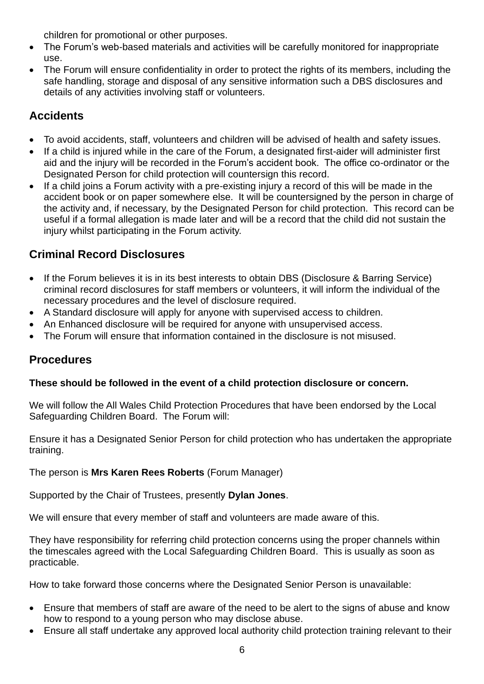children for promotional or other purposes.

- The Forum's web-based materials and activities will be carefully monitored for inappropriate use.
- The Forum will ensure confidentiality in order to protect the rights of its members, including the safe handling, storage and disposal of any sensitive information such a DBS disclosures and details of any activities involving staff or volunteers.

# **Accidents**

- To avoid accidents, staff, volunteers and children will be advised of health and safety issues.
- If a child is injured while in the care of the Forum, a designated first-aider will administer first aid and the injury will be recorded in the Forum's accident book. The office co-ordinator or the Designated Person for child protection will countersign this record.
- If a child joins a Forum activity with a pre-existing injury a record of this will be made in the accident book or on paper somewhere else. It will be countersigned by the person in charge of the activity and, if necessary, by the Designated Person for child protection. This record can be useful if a formal allegation is made later and will be a record that the child did not sustain the injury whilst participating in the Forum activity.

## **Criminal Record Disclosures**

- If the Forum believes it is in its best interests to obtain DBS (Disclosure & Barring Service) criminal record disclosures for staff members or volunteers, it will inform the individual of the necessary procedures and the level of disclosure required.
- A Standard disclosure will apply for anyone with supervised access to children.
- An Enhanced disclosure will be required for anyone with unsupervised access.
- The Forum will ensure that information contained in the disclosure is not misused.

## **Procedures**

#### **These should be followed in the event of a child protection disclosure or concern.**

We will follow the All Wales Child Protection Procedures that have been endorsed by the Local Safeguarding Children Board. The Forum will:

Ensure it has a Designated Senior Person for child protection who has undertaken the appropriate training.

The person is **Mrs Karen Rees Roberts** (Forum Manager)

Supported by the Chair of Trustees, presently **Dylan Jones**.

We will ensure that every member of staff and volunteers are made aware of this.

They have responsibility for referring child protection concerns using the proper channels within the timescales agreed with the Local Safeguarding Children Board. This is usually as soon as practicable.

How to take forward those concerns where the Designated Senior Person is unavailable:

- Ensure that members of staff are aware of the need to be alert to the signs of abuse and know how to respond to a young person who may disclose abuse.
- Ensure all staff undertake any approved local authority child protection training relevant to their